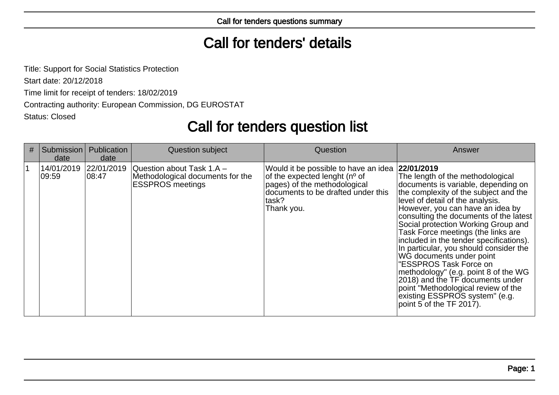## Call for tenders' details

Title: Support for Social Statistics ProtectionStart date: 20/12/2018 Time limit for receipt of tenders: 18/02/2019 Contracting authority: European Commission, DG EUROSTATStatus: Closed

# Call for tenders question list

| # | Submission<br>date  | Publication<br>date  | <b>Question subject</b>                                                                  | Question                                                                                                                                                                        | Answer                                                                                                                                                                                                                                                                                                                                                                                                                                                                                                                                                                                                                                                    |
|---|---------------------|----------------------|------------------------------------------------------------------------------------------|---------------------------------------------------------------------------------------------------------------------------------------------------------------------------------|-----------------------------------------------------------------------------------------------------------------------------------------------------------------------------------------------------------------------------------------------------------------------------------------------------------------------------------------------------------------------------------------------------------------------------------------------------------------------------------------------------------------------------------------------------------------------------------------------------------------------------------------------------------|
|   | 14/01/2019<br>09:59 | 22/01/2019<br>108:47 | Ouestion about Task 1.A -<br>Methodological documents for the<br><b>ESSPROS</b> meetings | Would it be possible to have an idea<br>of the expected lenght (n <sup>o</sup> of<br>pages) of the methodological<br>documents to be drafted under this<br>∣task?<br>Thank you. | 22/01/2019<br>The length of the methodological<br>documents is variable, depending on<br>the complexity of the subject and the<br>level of detail of the analysis.<br>However, you can have an idea by<br>consulting the documents of the latest<br>Social protection Working Group and<br>Task Force meetings (the links are<br>included in the tender specifications).<br>In particular, you should consider the<br>WG documents under point<br>"ESSPROS Task Force on<br>methodology" (e.g. point 8 of the WG<br>2018) and the TF documents under<br>point "Methodological review of the<br>existing ESSPROS system" (e.g.<br>point 5 of the TF 2017). |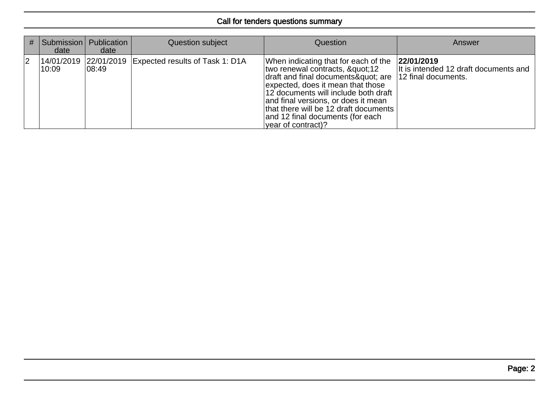| #              | date  | Submission   Publication<br>date | Question subject                                      | Question                                                                                                                                                                                                                                                                                                                    | Answer                                                                     |
|----------------|-------|----------------------------------|-------------------------------------------------------|-----------------------------------------------------------------------------------------------------------------------------------------------------------------------------------------------------------------------------------------------------------------------------------------------------------------------------|----------------------------------------------------------------------------|
| $\overline{2}$ | 10:09 | $ 08:49\rangle$                  | 14/01/2019 22/01/2019 Expected results of Task 1: D1A | When indicating that for each of the<br>two renewal contracts, "12<br>draft and final documents" are<br>expected, does it mean that those<br>12 documents will include both draft<br>and final versions, or does it mean<br>that there will be 12 draft documents<br>and 12 final documents (for each<br>vear of contract)? | 22/01/2019<br>It is intended 12 draft documents and<br>12 final documents. |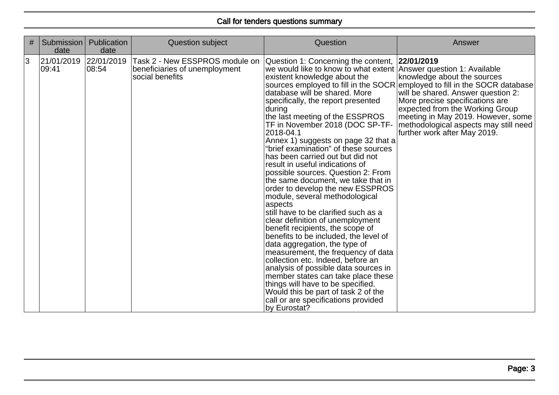| # | Submission<br>date  | Publication<br>date  | Question subject                                                                   | Question                                                                                                                                                                                                                                                                                                                                                                                                                                                                                                                                                                                                                                                                                                                                                                                                                                                                                                                                                                                                                                                                                                                         | Answer                                                                                                                                                                                                                                                                                                                               |
|---|---------------------|----------------------|------------------------------------------------------------------------------------|----------------------------------------------------------------------------------------------------------------------------------------------------------------------------------------------------------------------------------------------------------------------------------------------------------------------------------------------------------------------------------------------------------------------------------------------------------------------------------------------------------------------------------------------------------------------------------------------------------------------------------------------------------------------------------------------------------------------------------------------------------------------------------------------------------------------------------------------------------------------------------------------------------------------------------------------------------------------------------------------------------------------------------------------------------------------------------------------------------------------------------|--------------------------------------------------------------------------------------------------------------------------------------------------------------------------------------------------------------------------------------------------------------------------------------------------------------------------------------|
| 3 | 21/01/2019<br>09:41 | 22/01/2019<br> 08:54 | Task 2 - New ESSPROS module on<br>beneficiaries of unemployment<br>social benefits | Question 1: Concerning the content, 22/01/2019<br>we would like to know to what extent Answer question 1: Available<br>existent knowledge about the<br>database will be shared. More<br>specifically, the report presented<br>during<br>the last meeting of the ESSPROS<br>TF in November 2018 (DOC SP-TF-<br>2018-04.1<br>Annex 1) suggests on page 32 that a<br>"brief examination" of these sources<br>has been carried out but did not<br>result in useful indications of<br>possible sources. Question 2: From<br>the same document, we take that in<br>order to develop the new ESSPROS<br>module, several methodological<br>aspects<br>still have to be clarified such as a<br>clear definition of unemployment<br>benefit recipients, the scope of<br>benefits to be included, the level of<br>data aggregation, the type of<br>measurement, the frequency of data<br>collection etc. Indeed, before an<br>analysis of possible data sources in<br>member states can take place these<br>things will have to be specified.<br>Would this be part of task 2 of the<br>call or are specifications provided<br>by Eurostat? | knowledge about the sources<br>sources employed to fill in the SOCR employed to fill in the SOCR database<br>will be shared. Answer question 2:<br>More precise specifications are<br>expected from the Working Group<br>meeting in May 2019. However, some<br>methodological aspects may still need<br>further work after May 2019. |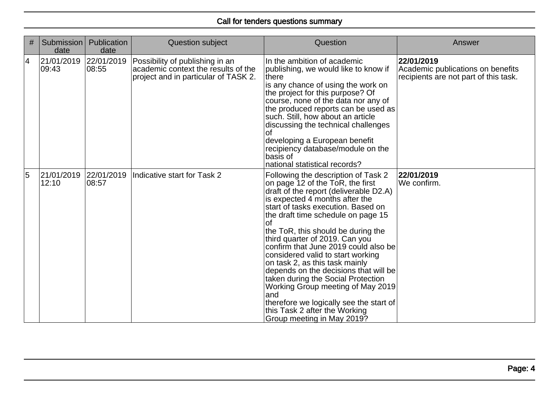| # | Submission<br>date              | Publication<br>date | <b>Question subject</b>                                                                                        | Question                                                                                                                                                                                                                                                                                                                                                                                                                                                                                                                                                                                                                                                                 | Answer                                                                                   |
|---|---------------------------------|---------------------|----------------------------------------------------------------------------------------------------------------|--------------------------------------------------------------------------------------------------------------------------------------------------------------------------------------------------------------------------------------------------------------------------------------------------------------------------------------------------------------------------------------------------------------------------------------------------------------------------------------------------------------------------------------------------------------------------------------------------------------------------------------------------------------------------|------------------------------------------------------------------------------------------|
| 4 | 21/01/2019 22/01/2019<br> 09:43 | 08:55               | Possibility of publishing in an<br>academic context the results of the<br>project and in particular of TASK 2. | In the ambition of academic<br>publishing, we would like to know if<br>there<br>is any chance of using the work on<br>the project for this purpose? Of<br>course, none of the data nor any of<br>the produced reports can be used as<br>such. Still, how about an article<br>discussing the technical challenges<br>Ωt<br>developing a European benefit<br>recipiency database/module on the<br>basis of<br>national statistical records?                                                                                                                                                                                                                                | 22/01/2019<br>Academic publications on benefits<br>recipients are not part of this task. |
| 5 | 21/01/2019<br>12:10             | 22/01/2019<br>08:57 | Indicative start for Task 2                                                                                    | Following the description of Task 2<br>on page 12 of the ToR, the first<br>draft of the report (deliverable D2.A)<br>is expected 4 months after the<br>start of tasks execution. Based on<br>the draft time schedule on page 15<br><b>of</b><br>the ToR, this should be during the<br>third quarter of 2019. Can you<br>confirm that June 2019 could also be<br>considered valid to start working<br>on task 2, as this task mainly<br>depends on the decisions that will be<br>taken during the Social Protection<br>Working Group meeting of May 2019<br>and<br>therefore we logically see the start of<br>this Task 2 after the Working<br>Group meeting in May 2019? | 22/01/2019<br>We confirm.                                                                |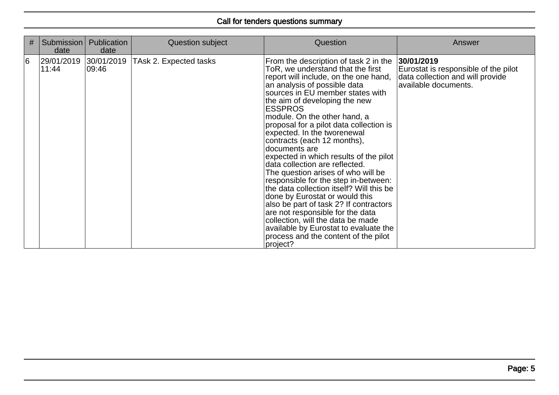| # | Submission<br>date             | Publication<br>date | Question subject       | Question                                                                                                                                                                                                                                                                                                                                                                                                                                                                                                                                                                                                                                                                                                                                                                                                                                                     | Answer                                                                                                         |
|---|--------------------------------|---------------------|------------------------|--------------------------------------------------------------------------------------------------------------------------------------------------------------------------------------------------------------------------------------------------------------------------------------------------------------------------------------------------------------------------------------------------------------------------------------------------------------------------------------------------------------------------------------------------------------------------------------------------------------------------------------------------------------------------------------------------------------------------------------------------------------------------------------------------------------------------------------------------------------|----------------------------------------------------------------------------------------------------------------|
| 6 | 29/01/2019 30/01/2019<br>11:44 | 09:46               | TAsk 2. Expected tasks | From the description of task 2 in the<br>ToR, we understand that the first<br>report will include, on the one hand,<br>an analysis of possible data<br>sources in EU member states with<br>the aim of developing the new<br><b>ESSPROS</b><br>module. On the other hand, a<br>proposal for a pilot data collection is<br>expected. In the tworenewal<br>contracts (each 12 months),<br>documents are<br>expected in which results of the pilot<br>data collection are reflected.<br>The question arises of who will be<br>responsible for the step in-between:<br>the data collection itself? Will this be<br>done by Eurostat or would this<br>also be part of task 2? If contractors<br>are not responsible for the data<br>collection, will the data be made<br>available by Eurostat to evaluate the<br>process and the content of the pilot<br>project? | 30/01/2019<br>Eurostat is responsible of the pilot<br>data collection and will provide<br>available documents. |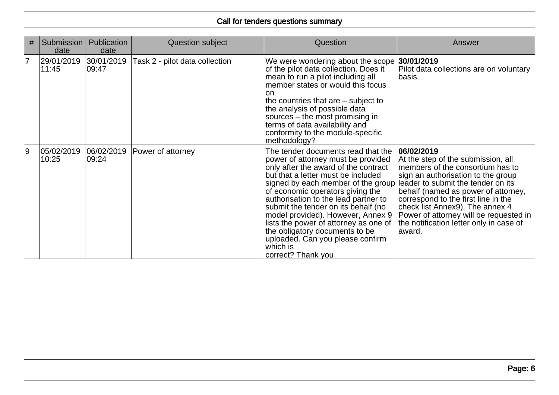| #              | Submission<br>date              | <b>Publication</b><br>date | Question subject               | Question                                                                                                                                                                                                                                                                                                                                                                                                                                                                                                                                  | Answer                                                                                                                                                                                                                                                                                                                                     |
|----------------|---------------------------------|----------------------------|--------------------------------|-------------------------------------------------------------------------------------------------------------------------------------------------------------------------------------------------------------------------------------------------------------------------------------------------------------------------------------------------------------------------------------------------------------------------------------------------------------------------------------------------------------------------------------------|--------------------------------------------------------------------------------------------------------------------------------------------------------------------------------------------------------------------------------------------------------------------------------------------------------------------------------------------|
| $\overline{7}$ | 29/01/2019  30/01/2019<br>11:45 | 109:47                     | Task 2 - pilot data collection | We were wondering about the scope 30/01/2019<br>of the pilot data collection. Does it<br>mean to run a pilot including all<br>member states or would this focus<br>no<br>the countries that are – subject to<br>the analysis of possible data<br>sources - the most promising in<br>terms of data availability and<br>conformity to the module-specific<br>methodology?                                                                                                                                                                   | Pilot data collections are on voluntary<br>basis.                                                                                                                                                                                                                                                                                          |
| و              | 05/02/2019<br>10:25             | 06/02/2019<br>09:24        | Power of attorney              | The tender documents read that the<br>power of attorney must be provided<br>only after the award of the contract<br>but that a letter must be included<br>signed by each member of the group leader to submit the tender on its<br>of economic operators giving the<br>authorisation to the lead partner to<br>submit the tender on its behalf (no<br>model provided). However, Annex 9<br>lists the power of attorney as one of<br>the obligatory documents to be<br>uploaded. Can you please confirm<br>which is<br> correct? Thank you | 06/02/2019<br>At the step of the submission, all<br>members of the consortium has to<br>sign an authorisation to the group<br>behalf (named as power of attorney,<br>correspond to the first line in the<br>check list Annex9). The annex 4<br>Power of attorney will be requested in<br>the notification letter only in case of<br>award. |